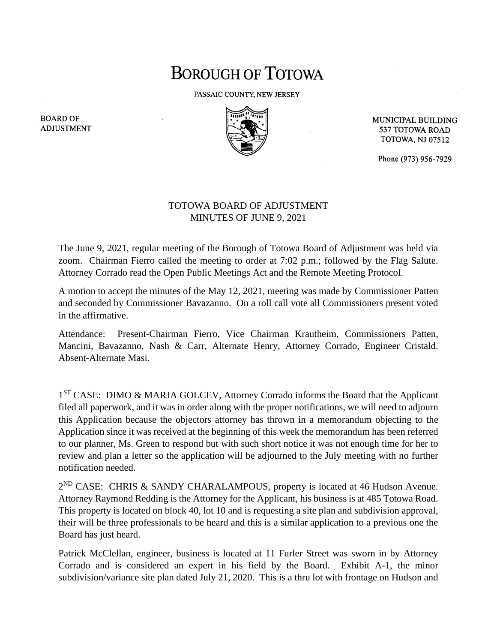## **BOROUGH OF TOTOWA**

PASSAIC COUNTY, NEW JERSEY



MUNICIPAL BUILDING 537 TOTOWA ROAD **TOTOWA, NJ 07512** 

Phone (973) 956-7929

## TOTOWA BOARD OF ADJUSTMENT MINUTES OF JUNE 9, 2021

The June 9, 2021, regular meeting of the Borough of Totowa Board of Adjustment was held via zoom. Chairman Fierro called the meeting to order at 7:02 p.m.; followed by the Flag Salute. Attorney Corrado read the Open Public Meetings Act and the Remote Meeting Protocol.

A motion to accept the minutes of the May 12, 2021, meeting was made by Commissioner Patten and seconded by Commissioner Bavazanno. On a roll call vote all Commissioners present voted in the affirmative.

Attendance: Present-Chairman Fierro, Vice Chairman Krautheim, Commissioners Patten, Mancini, Bavazanno, Nash & Carr, Alternate Henry, Attorney Corrado, Engineer Cristald. Absent-Alternate Masi.

1<sup>ST</sup> CASE: DIMO & MARJA GOLCEV, Attorney Corrado informs the Board that the Applicant filed all paperwork, and it was in order along with the proper notifications, we will need to adjourn this Application because the objectors attorney has thrown in a memorandum objecting to the Application since it was received at the beginning of this week the memorandum has been referred to our planner, Ms. Green to respond but with such short notice it was not enough time for her to review and plan a letter so the application will be adjourned to the July meeting with no further notification needed.

2<sup>ND</sup> CASE: CHRIS & SANDY CHARALAMPOUS, property is located at 46 Hudson Avenue. Attorney Raymond Redding is the Attorney for the Applicant, his business is at 485 Totowa Road. This property is located on block 40, lot 10 and is requesting a site plan and subdivision approval, their will be three professionals to be heard and this is a similar application to a previous one the Board has just heard.

Patrick McClellan, engineer, business is located at 11 Furler Street was sworn in by Attorney Corrado and is considered an expert in his field by the Board. Exhibit A-1, the minor subdivision/variance site plan dated July 21, 2020. This is a thru lot with frontage on Hudson and

**BOARD OF ADJUSTMENT**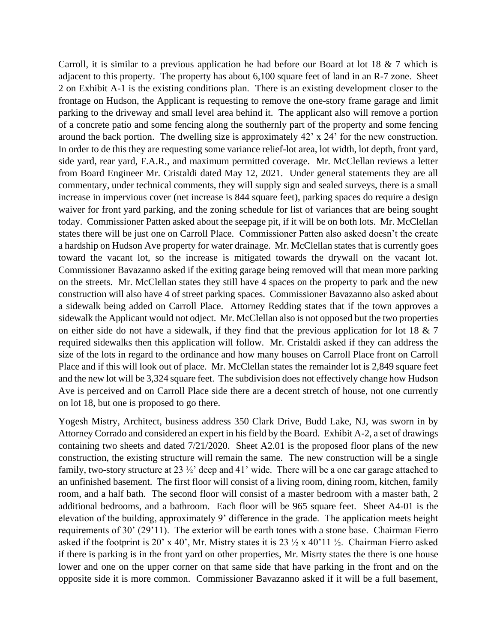Carroll, it is similar to a previous application he had before our Board at lot 18 & 7 which is adjacent to this property. The property has about 6,100 square feet of land in an R-7 zone. Sheet 2 on Exhibit A-1 is the existing conditions plan. There is an existing development closer to the frontage on Hudson, the Applicant is requesting to remove the one-story frame garage and limit parking to the driveway and small level area behind it. The applicant also will remove a portion of a concrete patio and some fencing along the southernly part of the property and some fencing around the back portion. The dwelling size is approximately 42' x 24' for the new construction. In order to de this they are requesting some variance relief-lot area, lot width, lot depth, front yard, side yard, rear yard, F.A.R., and maximum permitted coverage. Mr. McClellan reviews a letter from Board Engineer Mr. Cristaldi dated May 12, 2021. Under general statements they are all commentary, under technical comments, they will supply sign and sealed surveys, there is a small increase in impervious cover (net increase is 844 square feet), parking spaces do require a design waiver for front yard parking, and the zoning schedule for list of variances that are being sought today. Commissioner Patten asked about the seepage pit, if it will be on both lots. Mr. McClellan states there will be just one on Carroll Place. Commissioner Patten also asked doesn't the create a hardship on Hudson Ave property for water drainage. Mr. McClellan states that is currently goes toward the vacant lot, so the increase is mitigated towards the drywall on the vacant lot. Commissioner Bavazanno asked if the exiting garage being removed will that mean more parking on the streets. Mr. McClellan states they still have 4 spaces on the property to park and the new construction will also have 4 of street parking spaces. Commissioner Bavazanno also asked about a sidewalk being added on Carroll Place. Attorney Redding states that if the town approves a sidewalk the Applicant would not odject. Mr. McClellan also is not opposed but the two properties on either side do not have a sidewalk, if they find that the previous application for lot 18 & 7 required sidewalks then this application will follow. Mr. Cristaldi asked if they can address the size of the lots in regard to the ordinance and how many houses on Carroll Place front on Carroll Place and if this will look out of place. Mr. McClellan states the remainder lot is 2,849 square feet and the new lot will be 3,324 square feet. The subdivision does not effectively change how Hudson Ave is perceived and on Carroll Place side there are a decent stretch of house, not one currently on lot 18, but one is proposed to go there.

Yogesh Mistry, Architect, business address 350 Clark Drive, Budd Lake, NJ, was sworn in by Attorney Corrado and considered an expert in his field by the Board. Exhibit A-2, a set of drawings containing two sheets and dated 7/21/2020. Sheet A2.01 is the proposed floor plans of the new construction, the existing structure will remain the same. The new construction will be a single family, two-story structure at 23 ½' deep and 41' wide. There will be a one car garage attached to an unfinished basement. The first floor will consist of a living room, dining room, kitchen, family room, and a half bath. The second floor will consist of a master bedroom with a master bath, 2 additional bedrooms, and a bathroom. Each floor will be 965 square feet. Sheet A4-01 is the elevation of the building, approximately 9' difference in the grade. The application meets height requirements of 30' (29'11). The exterior will be earth tones with a stone base. Chairman Fierro asked if the footprint is 20' x 40', Mr. Mistry states it is 23  $\frac{1}{2}$  x 40'11  $\frac{1}{2}$ . Chairman Fierro asked if there is parking is in the front yard on other properties, Mr. Misrty states the there is one house lower and one on the upper corner on that same side that have parking in the front and on the opposite side it is more common. Commissioner Bavazanno asked if it will be a full basement,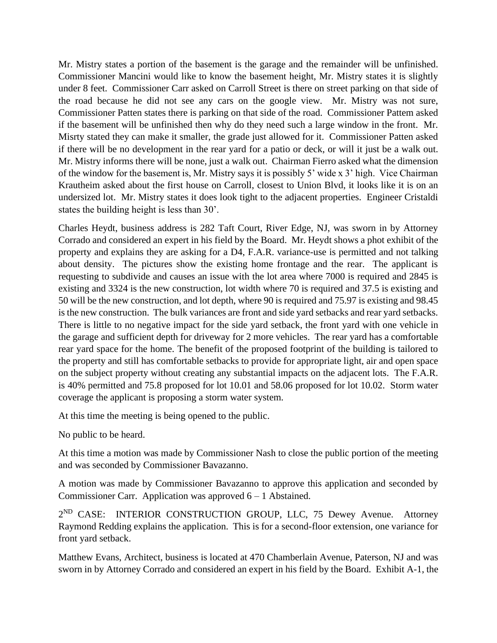Mr. Mistry states a portion of the basement is the garage and the remainder will be unfinished. Commissioner Mancini would like to know the basement height, Mr. Mistry states it is slightly under 8 feet. Commissioner Carr asked on Carroll Street is there on street parking on that side of the road because he did not see any cars on the google view. Mr. Mistry was not sure, Commissioner Patten states there is parking on that side of the road. Commissioner Pattem asked if the basement will be unfinished then why do they need such a large window in the front. Mr. Misrty stated they can make it smaller, the grade just allowed for it. Commissioner Patten asked if there will be no development in the rear yard for a patio or deck, or will it just be a walk out. Mr. Mistry informs there will be none, just a walk out. Chairman Fierro asked what the dimension of the window for the basement is, Mr. Mistry says it is possibly 5' wide x 3' high. Vice Chairman Krautheim asked about the first house on Carroll, closest to Union Blvd, it looks like it is on an undersized lot. Mr. Mistry states it does look tight to the adjacent properties. Engineer Cristaldi states the building height is less than 30'.

Charles Heydt, business address is 282 Taft Court, River Edge, NJ, was sworn in by Attorney Corrado and considered an expert in his field by the Board. Mr. Heydt shows a phot exhibit of the property and explains they are asking for a D4, F.A.R. variance-use is permitted and not talking about density. The pictures show the existing home frontage and the rear. The applicant is requesting to subdivide and causes an issue with the lot area where 7000 is required and 2845 is existing and 3324 is the new construction, lot width where 70 is required and 37.5 is existing and 50 will be the new construction, and lot depth, where 90 is required and 75.97 is existing and 98.45 is the new construction. The bulk variances are front and side yard setbacks and rear yard setbacks. There is little to no negative impact for the side yard setback, the front yard with one vehicle in the garage and sufficient depth for driveway for 2 more vehicles. The rear yard has a comfortable rear yard space for the home. The benefit of the proposed footprint of the building is tailored to the property and still has comfortable setbacks to provide for appropriate light, air and open space on the subject property without creating any substantial impacts on the adjacent lots. The F.A.R. is 40% permitted and 75.8 proposed for lot 10.01 and 58.06 proposed for lot 10.02. Storm water coverage the applicant is proposing a storm water system.

At this time the meeting is being opened to the public.

No public to be heard.

At this time a motion was made by Commissioner Nash to close the public portion of the meeting and was seconded by Commissioner Bavazanno.

A motion was made by Commissioner Bavazanno to approve this application and seconded by Commissioner Carr. Application was approved  $6 - 1$  Abstained.

2<sup>ND</sup> CASE: INTERIOR CONSTRUCTION GROUP, LLC, 75 Dewey Avenue. Attorney Raymond Redding explains the application. This is for a second-floor extension, one variance for front yard setback.

Matthew Evans, Architect, business is located at 470 Chamberlain Avenue, Paterson, NJ and was sworn in by Attorney Corrado and considered an expert in his field by the Board. Exhibit A-1, the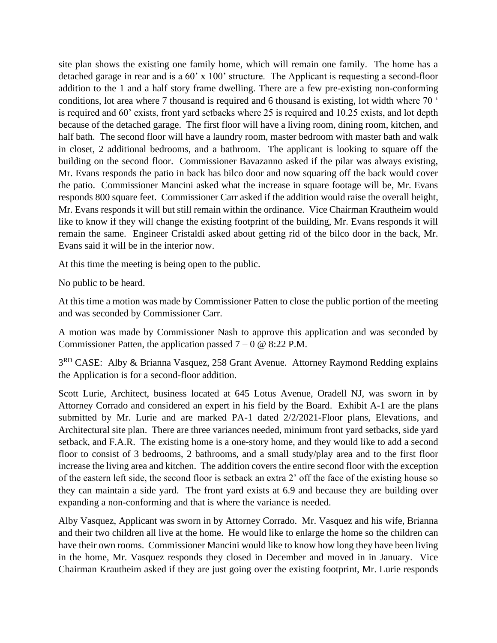site plan shows the existing one family home, which will remain one family. The home has a detached garage in rear and is a 60' x 100' structure. The Applicant is requesting a second-floor addition to the 1 and a half story frame dwelling. There are a few pre-existing non-conforming conditions, lot area where 7 thousand is required and 6 thousand is existing, lot width where 70 ' is required and 60' exists, front yard setbacks where 25 is required and 10.25 exists, and lot depth because of the detached garage. The first floor will have a living room, dining room, kitchen, and half bath. The second floor will have a laundry room, master bedroom with master bath and walk in closet, 2 additional bedrooms, and a bathroom. The applicant is looking to square off the building on the second floor. Commissioner Bavazanno asked if the pilar was always existing, Mr. Evans responds the patio in back has bilco door and now squaring off the back would cover the patio. Commissioner Mancini asked what the increase in square footage will be, Mr. Evans responds 800 square feet. Commissioner Carr asked if the addition would raise the overall height, Mr. Evans responds it will but still remain within the ordinance. Vice Chairman Krautheim would like to know if they will change the existing footprint of the building, Mr. Evans responds it will remain the same. Engineer Cristaldi asked about getting rid of the bilco door in the back, Mr. Evans said it will be in the interior now.

At this time the meeting is being open to the public.

No public to be heard.

At this time a motion was made by Commissioner Patten to close the public portion of the meeting and was seconded by Commissioner Carr.

A motion was made by Commissioner Nash to approve this application and was seconded by Commissioner Patten, the application passed  $7 - 0 \otimes 8:22$  P.M.

3<sup>RD</sup> CASE: Alby & Brianna Vasquez, 258 Grant Avenue. Attorney Raymond Redding explains the Application is for a second-floor addition.

Scott Lurie, Architect, business located at 645 Lotus Avenue, Oradell NJ, was sworn in by Attorney Corrado and considered an expert in his field by the Board. Exhibit A-1 are the plans submitted by Mr. Lurie and are marked PA-1 dated 2/2/2021-Floor plans, Elevations, and Architectural site plan. There are three variances needed, minimum front yard setbacks, side yard setback, and F.A.R. The existing home is a one-story home, and they would like to add a second floor to consist of 3 bedrooms, 2 bathrooms, and a small study/play area and to the first floor increase the living area and kitchen. The addition covers the entire second floor with the exception of the eastern left side, the second floor is setback an extra 2' off the face of the existing house so they can maintain a side yard. The front yard exists at 6.9 and because they are building over expanding a non-conforming and that is where the variance is needed.

Alby Vasquez, Applicant was sworn in by Attorney Corrado. Mr. Vasquez and his wife, Brianna and their two children all live at the home. He would like to enlarge the home so the children can have their own rooms. Commissioner Mancini would like to know how long they have been living in the home, Mr. Vasquez responds they closed in December and moved in in January. Vice Chairman Krautheim asked if they are just going over the existing footprint, Mr. Lurie responds